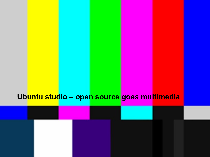# **Ubuntu studio – open source goes multimedia**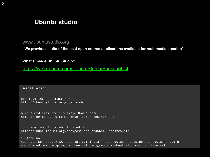### **Ubuntu studio**

### [www.ubuntustudio.org](http://www.ubuntustudio.org/)

**"We provide a suite of the best open-source applications available for multimedia creation"**

**What's inside Ubuntu Studio?**

<https://wiki.ubuntu.com/UbuntuStudio/PackageList>

Installation

download the iso image here: <http://ubuntustudio.org/downloads>

burn a dvd from the iso image HowTo here: <https://help.ubuntu.com/community/BurningIsoHowto>

'upgrade' ubuntu to ubuntu studio: <http://ubuntuforums.org/showpost.php?p=4665486&postcount=9>

in terminal: sudo apt-get update && sudo apt-get install ubuntustudio-desktop ubuntustudio-audio ubuntustudio-audio-plugins ubuntustudio-graphics ubuntustudio-video linux-rt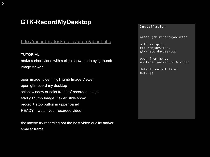## **GTK-RecordMyDesktop**

<http://recordmydesktop.iovar.org/about.php>

#### **TUTORIAL**

make a short video with a slide show made by 'g-thumb image viewer'.

open image folder in 'gThumb Image Viewer' open gtk-record my desktop select window or selct frame of recorded image start gThumb Image Viewer 'slide show' record + stop button in upper panel READY – watch your recorded video

tip: maybe try recording not the best video quality and/or smaller frame

#### Installation

name: gtk-recordmydesktop

with synaptic: recordmydesktop, gtk-recordmydesktop

open from menu: applications/sound & video

default output file: out.ogg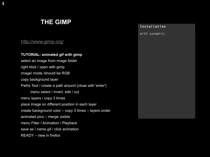## **THE GIMP**

### http://www.gimp.org/

### **TUTORIAL: animated gif with gimp**

select an image from image folder right klick / open with gimp image/ mode /should be RGB copy background layer Paths Tool / create a path around (close with 'enter') menu select / invert, edit / cut menu layers / copy 3 times place image on different position in each layer create background color – copy 3 times – layers under animated pics – merge visible menu Filter / Animation / Playback save as / name.gif / click animation READY – view in firefox

#### Installation

with synaptic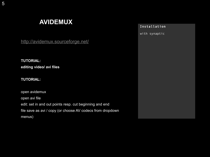# **AVIDEMUX**

#### Installation

with synaptic

<http://avidemux.sourceforge.net/>

**TUTORIAL: editing video/ avi files**

### **TUTORIAL:**

open avidemux open avi file edit: set in and out points resp. cut beginning and end file save as avi / copy (or choose AV codecs from dropdown menus)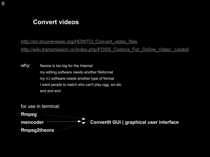## **Convert videos**

[http://en.linuxreviews.org/HOWTO\\_Convert\\_video\\_files](http://en.linuxreviews.org/HOWTO_Convert_video_files) http://wiki.transmission.cc/index.php/FOSS\_Codecs\_For\_Online\_Video:\_Usabili

why: filesize is too big for the Internet my editing software needs another fileformat my VJ software needs another type of format I want people to watch who can't play ogg, avi etc and and and

for use in terminal:

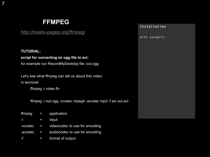## **FFMPEG**

<http://howto-pages.org/ffmpeg/>

#### **TUTORIAL:**

7

### **script for converting an ogg file to avi:**

for example our RecordMyDesktop file: out.ogg

Let's see what ffmpeg can tell us about this video: in terminal:

ffmpeg -i video.flv

ffmpeg -i out.ogg -vcodec mpeg4 -acodec mp3 -f avi out.avi

| ffmpeg  | ÆENT     | application                      |
|---------|----------|----------------------------------|
| ۴L      | $\equiv$ | <b>input</b>                     |
| -vcodec |          | = videocodec to use for encoding |
| -acodec | £w       | audiocodec to use for encoding   |
| 61      | -        | format of output                 |

#### Installation

with synaptic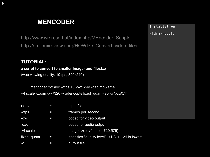## **MENCODER**

#### Installation

with synaptic

[http://www.wiki.csoft.at/index.php/MEncoder\\_Scripts](http://www.wiki.csoft.at/index.php/MEncoder_Scripts) [http://en.linuxreviews.org/HOWTO\\_Convert\\_video\\_files](http://en.linuxreviews.org/HOWTO_Convert_video_files)

### **TUTORIAL:**

### **a script to convert to smaller image- and filesize**

(web viewing quality: 10 fps, 320x240)

mencoder "xx.avi" -ofps 10 -ovc xvid -oac mp3lame -vf scale -zoom -xy \320 -xvidencopts fixed\_quant=20 -o "xx.AVI"

| xx.avi      |   | input file                                    |  |
|-------------|---|-----------------------------------------------|--|
| -ofps       | Е | frames per second                             |  |
| $-$ OVC     | I | codec for video output                        |  |
| -oac        | Τ | codec for audio output                        |  |
| -vf scale   | I | imagesize (-vf scale=720:576)                 |  |
| fixed quant | I | specifies "quality level" <1-31> 31 is lowest |  |
| $-O$        |   | output file                                   |  |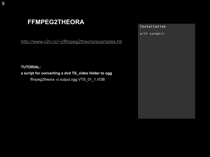## **FFMPEG2THEORA**

[http://www.v2v.cc/~j/ffmpeg2theora/examples.htm](http://www.v2v.cc/~j/ffmpeg2theora/examples.html)

**TUTORIAL:** 

**a script for converting a dvd TS\_video folder to ogg**

ffmpeg2theora -o output.ogg VTS\_01\_1.VOB

#### Installation

with synaptic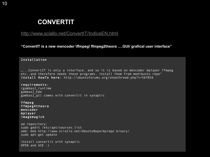## **CONVERTIT**

### http://www.sciallo.net/ConvertIT/IndiceEN.html

**"ConvertIT is a new mencoder \ffmpeg\ ffmpeg2theora ….GUI/ grafical user interface"**

#### Installation

....ConvertIT is only a interface, and so it is based on mencoder mplayer ffmpeg etc..and therefore needs these programs, install them from medibuntu repo" install HowTo here: http://ubuntuforums.org/showthread.php?t=567016

requirements: (gambas2\_runtime gambas2\_kde gambas2\_qt) comes with convertit in synaptic

ffmpeg ffmpeg4theora mencoder mplayer imagemagick

ad repository: sudo gedit /etc/apt/sources.list add: deb http://www.sciallo.net/UbuntuRepo/myrepo binary/ sudo apt-get update

install convertit with synaptic OPEN and USE :)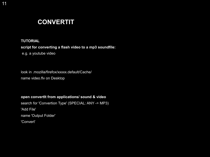## **CONVERTIT**

#### **TUTORIAL**

#### **script for converting a flash video to a mp3 soundfile:**

e.g. a youtube video

look in .mozilla/firefox/xxxxx.default/Cache/ name video.flv on Desktop

**open convertIt from applications/ sound & video**

search for 'Convertion Type' (SPECIAL: ANY -> MP3) 'Add File' name 'Output Folder' 'Convert'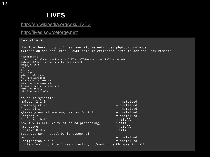# **LiVES**

### <http://en.wikipedia.org/wiki/LiVES>

<http://lives.sourceforge.net/>

#### Installation

download here: http://lives.sourceforge.net/index.php?do=downloads extract on desktop, read README file in extracted lives folder for Requirements Requirements Linux 2.x or BSD or openMosix or IRIX or OSX/Darwin (other UNIX untested) mplayer 0.90rc1+ compiled with jpeg support ImageMagick 5 perl 5+  $gtk+ 2.8+$ libjpeg62 gdk-pixbuf-loaders sox (recommended) transcode (recommended) mencoder (recommended) libmjpeg-tools (recommended) xmms (optional) cdda2wav (optional) found in synaptic: mplayer 2:1.0 = installed imagemagick 7:6 = installed libperl5.8 = installed gtk2-engines -theme engines for  $GTK+2.x$  = installed libjpeg62 = installed libgdk-pixbuf2 **install** sox (Swiss army knife of sound processing) install transcode install libgtk2.0-dev install sudo apt-get install build-essential mencoder = installed libmjpegtools0c2a = installed in terminal: cd into lives directory: ./configure && make install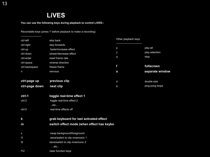## **LiVES**

**You can use the following keys during playback to control LiVES:-**

Recordable keys (press 'r' before playback to make a recording)

| -------------------- |                                           | Other playback keys |                 |  |  |  |
|----------------------|-------------------------------------------|---------------------|-----------------|--|--|--|
| ctrl-left            | skip back                                 |                     |                 |  |  |  |
| ctrl-right           | skip forwards                             |                     |                 |  |  |  |
| ctrl-up              | faster/increase effect                    | р                   | play all        |  |  |  |
| ctrl-down            | slower/decrease effect                    | У                   | play selection  |  |  |  |
| ctrl-enter           | reset frame rate                          | q                   | stop            |  |  |  |
| ctrl-space           | reverse direction                         |                     |                 |  |  |  |
| ctrl-backspace       | freeze frame                              | f                   | fullscreen      |  |  |  |
| n                    | nervous                                   | S                   | separate window |  |  |  |
|                      |                                           |                     |                 |  |  |  |
| ctrl-page up         | previous clip                             | d                   | double size     |  |  |  |
| ctrl-page down       | next clip                                 | g                   | ping pong loops |  |  |  |
|                      |                                           |                     |                 |  |  |  |
| ctrl-1               | toggle real-time effect 1                 |                     |                 |  |  |  |
| ctrl-2               | toggle real-time effect 2                 |                     |                 |  |  |  |
|                      | etc                                       |                     |                 |  |  |  |
| ctrl-0               | real-time effects off                     |                     |                 |  |  |  |
|                      |                                           |                     |                 |  |  |  |
| $\mathsf k$          | grab keyboard for last activated effect   |                     |                 |  |  |  |
| m                    | switch effect mode (when effect has keybo |                     |                 |  |  |  |
|                      |                                           |                     |                 |  |  |  |
| $\mathsf X$          | swap background/foreground                |                     |                 |  |  |  |
| f1                   | store/switch to clip mnemonic 1           |                     |                 |  |  |  |
| f2                   | store/switch to clip mnemonic 2           |                     |                 |  |  |  |
|                      | etc                                       |                     |                 |  |  |  |
|                      |                                           |                     |                 |  |  |  |